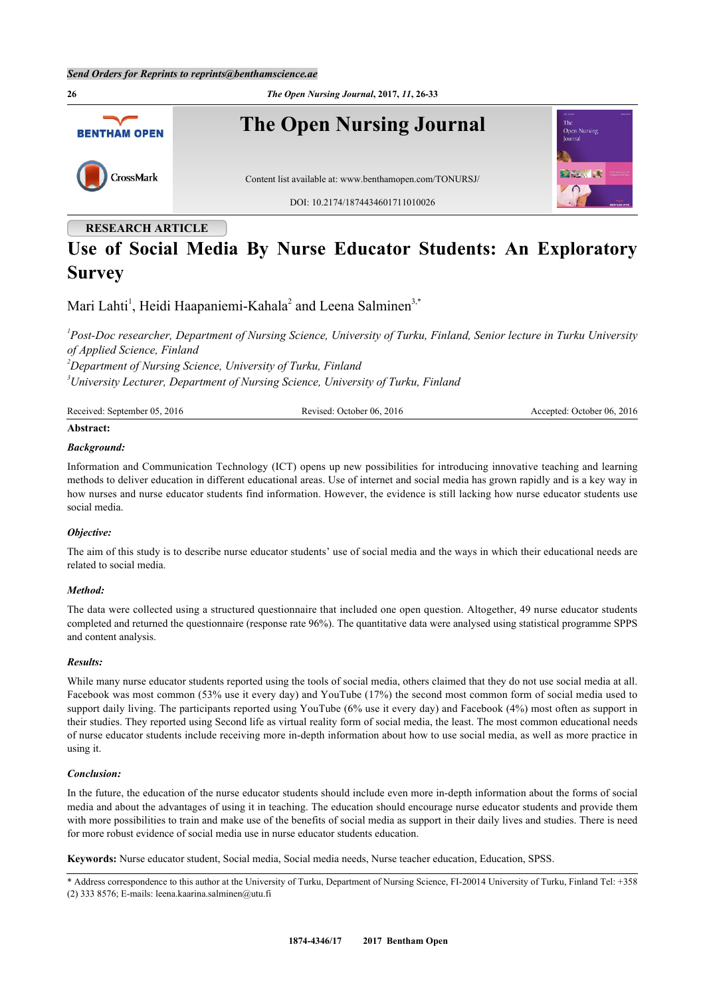

# **RESEARCH ARTICLE**

# **Use of Social Media By Nurse Educator Students: An Exploratory Survey**

Mari Lahti<sup>[1](#page-0-0)</sup>, Heidi Haapaniemi-Kahala<sup>[2](#page-0-1)</sup> and Leena Salminen<sup>[3,](#page-0-2)[\\*](#page-0-3)</sup>

<span id="page-0-0"></span>*1 Post-Doc researcher, Department of Nursing Science, University of Turku, Finland, Senior lecture in Turku University of Applied Science, Finland*

<span id="page-0-2"></span><span id="page-0-1"></span>*<sup>2</sup>Department of Nursing Science, University of Turku, Finland <sup>3</sup>University Lecturer, Department of Nursing Science, University of Turku, Finland*

| Received: September 05, 2016 | Revised: October 06, 2016 | Accepted: October 06, 2016 |
|------------------------------|---------------------------|----------------------------|
|                              |                           |                            |

# **Abstract:**

# *Background:*

Information and Communication Technology (ICT) opens up new possibilities for introducing innovative teaching and learning methods to deliver education in different educational areas. Use of internet and social media has grown rapidly and is a key way in how nurses and nurse educator students find information. However, the evidence is still lacking how nurse educator students use social media.

# *Objective:*

The aim of this study is to describe nurse educator students' use of social media and the ways in which their educational needs are related to social media.

# *Method:*

The data were collected using a structured questionnaire that included one open question. Altogether, 49 nurse educator students completed and returned the questionnaire (response rate 96%). The quantitative data were analysed using statistical programme SPPS and content analysis.

# *Results:*

While many nurse educator students reported using the tools of social media, others claimed that they do not use social media at all. Facebook was most common (53% use it every day) and YouTube (17%) the second most common form of social media used to support daily living. The participants reported using YouTube (6% use it every day) and Facebook (4%) most often as support in their studies. They reported using Second life as virtual reality form of social media, the least. The most common educational needs of nurse educator students include receiving more in-depth information about how to use social media, as well as more practice in using it.

# *Conclusion:*

In the future, the education of the nurse educator students should include even more in-depth information about the forms of social media and about the advantages of using it in teaching. The education should encourage nurse educator students and provide them with more possibilities to train and make use of the benefits of social media as support in their daily lives and studies. There is need for more robust evidence of social media use in nurse educator students education.

**Keywords:** Nurse educator student, Social media, Social media needs, Nurse teacher education, Education, SPSS.

<span id="page-0-3"></span>\* Address correspondence to this author at the University of Turku, Department of Nursing Science, FI-20014 University of Turku, Finland Tel: +358 (2) 333 8576; E-mails: [leena.kaarina.salminen@utu.fi](mailto:leena.kaarina.salminen@utu.fi)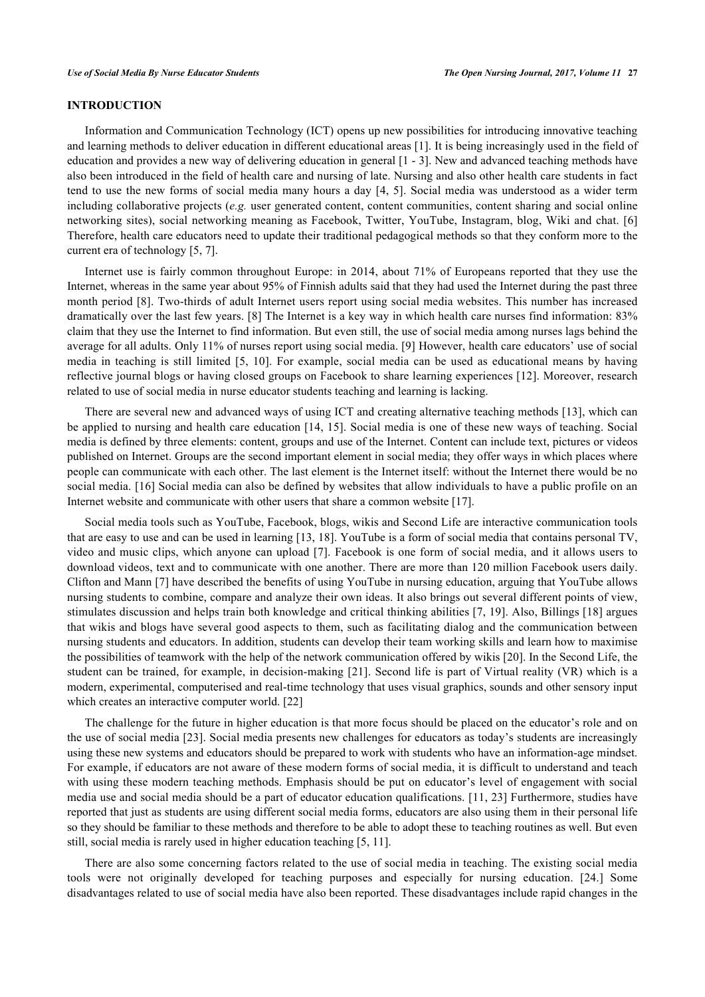# **INTRODUCTION**

Information and Communication Technology (ICT) opens up new possibilities for introducing innovative teaching and learning methods to deliver education in different educational areas [1]. It is being increasingly used in the field of education and provides a new way of delivering education in general [1 - [3\]](#page-6-0). New and advanced teaching methods have also been introduced in the field of health care and nursing of late. N[u](#page-6-0)rs[in](#page-6-1)g and also other health care students in fact tend to use the new forms of social media many hours a day [4, 5]. Social media was understood as a wider term including collaborative projects (*e.g.* user generated content, co[nt](#page-6-2)[en](#page-6-3)t communities, content sharing and social online networking sites), social networking meaning as Facebook, Twitter, YouTube, Instagram, blog, Wiki and chat. [6] Therefore, health care educators need to update their traditional pedagogical methods so that they conform more to t[he](#page-6-4) current era of technology [5, 7].

Internet use is fairly [co](#page-6-3)[m](#page-6-5)mon throughout Europe: in 2014, about 71% of Europeans reported that they use the Internet, whereas in the same year about 95% of Finnish adults said that they had used the Internet during the past three month period [8]. Two-thirds of adult Internet users report using social media websites. This number has increased dramatically o[ve](#page-6-6)r the last few years. [8] The Internet is a key way in which health care nurses find information: 83% claim that they use the Internet to find [in](#page-6-6)formation. But even still, the use of social media among nurses lags behind the average for all adults. Only 11% of nurses report using social media. [9] However, health care educators' use of social media in teaching is still limited [5, 10]. For example, social medi[a](#page-6-7) can be used as educational means by having reflective journal blogs or having [clo](#page-6-3)s[ed](#page-6-8) groups on Facebook to share learning experiences [[12\]](#page-7-0). Moreover, research related to use of social media in nurse educator students teaching and learning is lacking.

There are several new and advanced ways of using ICT and creating alternative teaching methods [13], which can be applied to nursing and health care education [14, 15]. Social media is one of these new ways of t[eac](#page-7-1)hing. Social media is defined by three elements: content, grou[ps a](#page-7-2)[nd u](#page-7-3)se of the Internet. Content can include text, pictures or videos published on Internet. Groups are the second important element in social media; they offer ways in which places where people can communicate with each other. The last element is the Internet itself: without the Internet there would be no social media. [16] Social media can also be defined by websites that allow individuals to have a public profile on an Internet websit[e an](#page-7-4)d communicate with other users that share a common website [17].

Social media tools such as YouTube, Facebook, blogs, wikis and Second Lif[e a](#page-7-5)re interactive communication tools that are easy to use and can be used in learning [13, 18]. YouTube is a form of social media that contains personal TV, video and music clips, which anyone can uplo[ad](#page-7-1) [[7\].](#page-7-6) Facebook is one form of social media, and it allows users to download videos, text and to communicate with on[e](#page-6-5) another. There are more than 120 million Facebook users daily. Clifton and Mann [7] have described the benefits of using YouTube in nursing education, arguing that YouTube allows nursing students t[o c](#page-6-5)ombine, compare and analyze their own ideas. It also brings out several different points of view, stimulates discussion and helps train both knowledge and critical thinking abilities [7, 19]. Also, Billings [18] argues that wikis and blogs have several good aspects to them, such as facilitating dialog [a](#page-6-5)[nd t](#page-7-7)he communicati[on b](#page-7-6)etween nursing students and educators. In addition, students can develop their team working skills and learn how to maximise the possibilities of teamwork with the help of the network communication offered by wikis [20]. In the Second Life, the student can be trained, for example, in decision-making [21]. Second life is part of Virt[ual](#page-7-8) reality (VR) which is a modern, experimental, computerised and real-time technol[ogy](#page-7-9) that uses visual graphics, sounds and other sensory input which creates an interactive computer world. [22]

The challenge for the future in higher ed[uca](#page-7-10)tion is that more focus should be placed on the educator's role and on the use of social media [23]. Social media presents new challenges for educators as today's students are increasingly using these new systems [and](#page-7-11) educators should be prepared to work with students who have an information-age mindset. For example, if educators are not aware of these modern forms of social media, it is difficult to understand and teach with using these modern teaching methods. Emphasis should be put on educator's level of engagement with social media use and social media should be a part of educator education qualifications. [11, 23] Furthermore, studies have reported that just as students are using different social media forms, educators are al[so](#page-6-9) u[sin](#page-7-11)g them in their personal life so they should be familiar to these methods and therefore to be able to adopt these to teaching routines as well. But even still, social media is rarely used in higher education teaching [5, 11].

There are also some concerning factors related to the u[se](#page-6-3) [of s](#page-6-9)ocial media in teaching. The existing social media tools were not originally developed for teaching purposes and especially for nursing education. [24.] Some disadvantages related to use of social media have also been reported. These disadvantages include rapid changes in the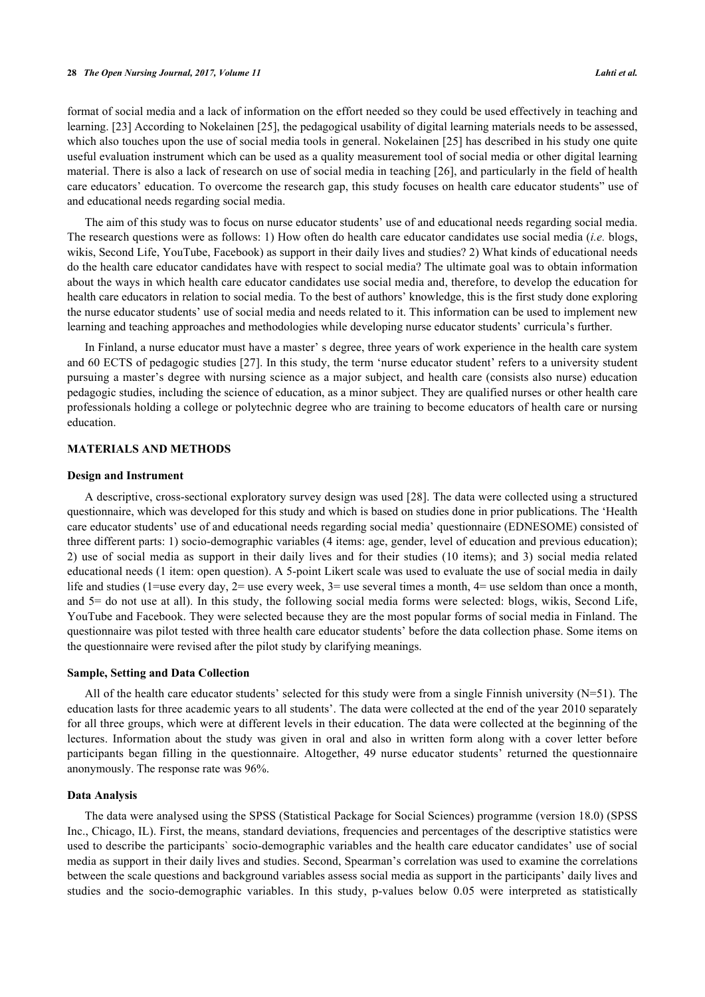format of social media and a lack of information on the effort needed so they could be used effectively in teaching and learning. [[23\]](#page-7-11) According to Nokelainen [[25\]](#page-7-12), the pedagogical usability of digital learning materials needs to be assessed, which also touches upon the use of social media tools in general. Nokelainen [[25](#page-7-12)] has described in his study one quite useful evaluation instrument which can be used as a quality measurement tool of social media or other digital learning material. There is also a lack of research on use of social media in teaching [[26](#page-7-13)], and particularly in the field of health care educators' education. To overcome the research gap, this study focuses on health care educator students" use of and educational needs regarding social media.

The aim of this study was to focus on nurse educator students' use of and educational needs regarding social media. The research questions were as follows: 1) How often do health care educator candidates use social media (*i.e.* blogs, wikis, Second Life, YouTube, Facebook) as support in their daily lives and studies? 2) What kinds of educational needs do the health care educator candidates have with respect to social media? The ultimate goal was to obtain information about the ways in which health care educator candidates use social media and, therefore, to develop the education for health care educators in relation to social media. To the best of authors' knowledge, this is the first study done exploring the nurse educator students' use of social media and needs related to it. This information can be used to implement new learning and teaching approaches and methodologies while developing nurse educator students' curricula's further.

In Finland, a nurse educator must have a master' s degree, three years of work experience in the health care system and 60 ECTS of pedagogic studies [[27](#page-7-14)]. In this study, the term 'nurse educator student' refers to a university student pursuing a master's degree with nursing science as a major subject, and health care (consists also nurse) education pedagogic studies, including the science of education, as a minor subject. They are qualified nurses or other health care professionals holding a college or polytechnic degree who are training to become educators of health care or nursing education.

# **MATERIALS AND METHODS**

#### **Design and Instrument**

A descriptive, cross-sectional exploratory survey design was used [[28](#page-7-15)]. The data were collected using a structured questionnaire, which was developed for this study and which is based on studies done in prior publications. The 'Health care educator students' use of and educational needs regarding social media' questionnaire (EDNESOME) consisted of three different parts: 1) socio-demographic variables (4 items: age, gender, level of education and previous education); 2) use of social media as support in their daily lives and for their studies (10 items); and 3) social media related educational needs (1 item: open question). A 5-point Likert scale was used to evaluate the use of social media in daily life and studies (1=use every day, 2= use every week, 3= use several times a month, 4= use seldom than once a month, and 5= do not use at all). In this study, the following social media forms were selected: blogs, wikis, Second Life, YouTube and Facebook. They were selected because they are the most popular forms of social media in Finland. The questionnaire was pilot tested with three health care educator students' before the data collection phase. Some items on the questionnaire were revised after the pilot study by clarifying meanings.

#### **Sample, Setting and Data Collection**

All of the health care educator students' selected for this study were from a single Finnish university  $(N=51)$ . The education lasts for three academic years to all students'. The data were collected at the end of the year 2010 separately for all three groups, which were at different levels in their education. The data were collected at the beginning of the lectures. Information about the study was given in oral and also in written form along with a cover letter before participants began filling in the questionnaire. Altogether, 49 nurse educator students' returned the questionnaire anonymously. The response rate was 96%.

#### **Data Analysis**

The data were analysed using the SPSS (Statistical Package for Social Sciences) programme (version 18.0) (SPSS Inc., Chicago, IL). First, the means, standard deviations, frequencies and percentages of the descriptive statistics were used to describe the participants` socio-demographic variables and the health care educator candidates' use of social media as support in their daily lives and studies. Second, Spearman's correlation was used to examine the correlations between the scale questions and background variables assess social media as support in the participants' daily lives and studies and the socio-demographic variables. In this study, p-values below 0.05 were interpreted as statistically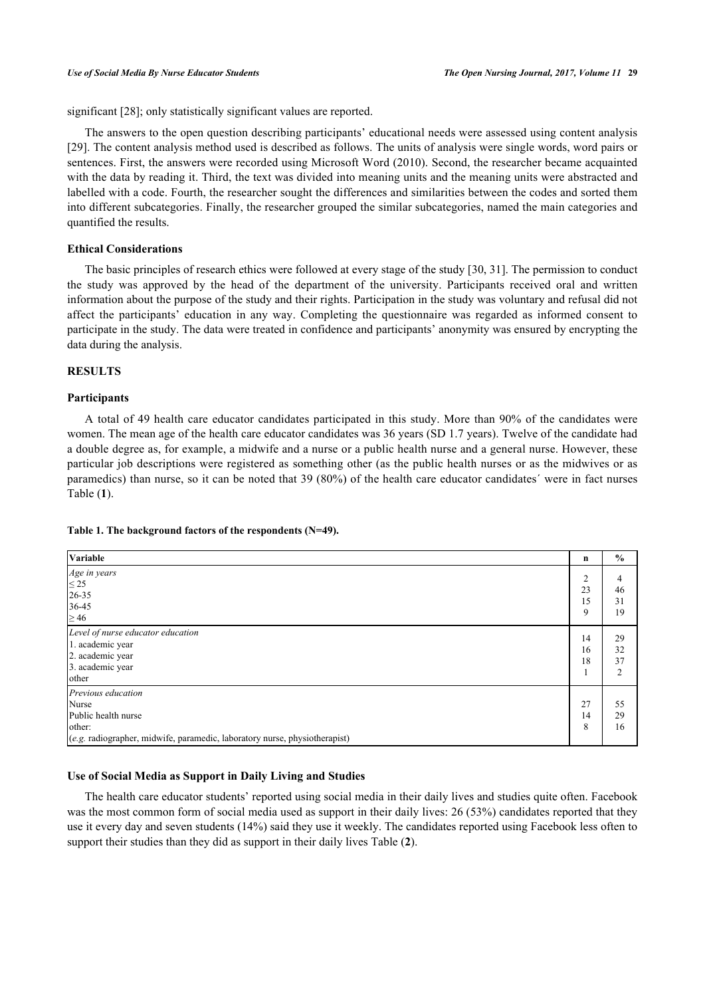significant [[28\]](#page-7-15); only statistically significant values are reported.

The answers to the open question describing participants' educational needs were assessed using content analysis [\[29](#page-7-16)]. The content analysis method used is described as follows. The units of analysis were single words, word pairs or sentences. First, the answers were recorded using Microsoft Word (2010). Second, the researcher became acquainted with the data by reading it. Third, the text was divided into meaning units and the meaning units were abstracted and labelled with a code. Fourth, the researcher sought the differences and similarities between the codes and sorted them into different subcategories. Finally, the researcher grouped the similar subcategories, named the main categories and quantified the results.

# **Ethical Considerations**

The basic principles of research ethics were followed at every stage of the study [[30,](#page-7-17) [31\]](#page-7-18). The permission to conduct the study was approved by the head of the department of the university. Participants received oral and written information about the purpose of the study and their rights. Participation in the study was voluntary and refusal did not affect the participants' education in any way. Completing the questionnaire was regarded as informed consent to participate in the study. The data were treated in confidence and participants' anonymity was ensured by encrypting the data during the analysis.

# **RESULTS**

# **Participants**

A total of 49 health care educator candidates participated in this study. More than 90% of the candidates were women. The mean age of the health care educator candidates was 36 years (SD 1.7 years). Twelve of the candidate had a double degree as, for example, a midwife and a nurse or a public health nurse and a general nurse. However, these particular job descriptions were registered as something other (as the public health nurses or as the midwives or as paramedics) than nurse, so it can be noted that 39 (80%) of the health care educator candidates´ were in fact nurses Table (**[1](#page-3-0)**).

# <span id="page-3-0"></span>**Table 1. The background factors of the respondents (N=49).**

| Variable                                                                                                                                   | n                               | $\frac{0}{0}$                    |
|--------------------------------------------------------------------------------------------------------------------------------------------|---------------------------------|----------------------------------|
| Age in years<br>$\leq$ 25<br>$26 - 35$<br>36-45<br>$\geq 46$                                                                               | $\overline{2}$<br>23<br>15<br>9 | 4<br>46<br>31<br>19              |
| Level of nurse educator education<br>1. academic year<br>2. academic year<br>3. academic year<br>other                                     | 14<br>16<br>18                  | 29<br>32<br>37<br>$\mathfrak{D}$ |
| Previous education<br>Nurse<br>Public health nurse<br>other:<br>(e.g. radiographer, midwife, paramedic, laboratory nurse, physiotherapist) | 27<br>14<br>8                   | 55<br>29<br>16                   |

# **Use of Social Media as Support in Daily Living and Studies**

The health care educator students' reported using social media in their daily lives and studies quite often. Facebook was the most common form of social media used as support in their daily lives: 26 (53%) candidates reported that they use it every day and seven students (14%) said they use it weekly. The candidates reported using Facebook less often to support their studies than they did as support in their daily lives Table (**[2](#page-4-0)**).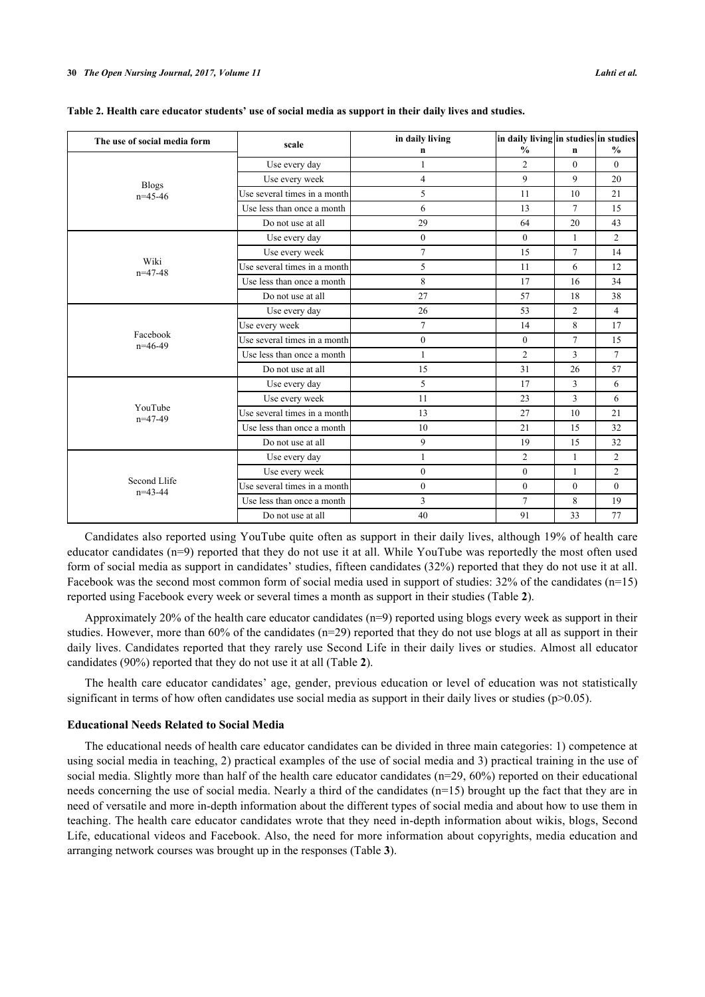| The use of social media form | scale                        | in daily living<br>n | in daily living in studies in studies<br>$\frac{0}{0}$ | $\mathbf n$    | $\frac{0}{0}$  |
|------------------------------|------------------------------|----------------------|--------------------------------------------------------|----------------|----------------|
| <b>Blogs</b><br>$n=45-46$    | Use every day                | 1                    | $\overline{2}$                                         | $\theta$       | $\Omega$       |
|                              | Use every week               | $\overline{4}$       | 9                                                      | 9              | 20             |
|                              | Use several times in a month | 5                    | 11                                                     | 10             | 21             |
|                              | Use less than once a month   | 6                    | 13                                                     | $\tau$         | 15             |
|                              | Do not use at all            | 29                   | 64                                                     | 20             | 43             |
|                              | Use every day                | $\overline{0}$       | $\theta$                                               | 1              | $\overline{2}$ |
| Wiki<br>$n=47-48$            | Use every week               | $\overline{7}$       | 15                                                     | $\tau$         | 14             |
|                              | Use several times in a month | 5                    | 11                                                     | 6              | 12             |
|                              | Use less than once a month   | 8                    | 17                                                     | 16             | 34             |
|                              | Do not use at all            | 27                   | 57                                                     | 18             | 38             |
|                              | Use every day                | 26                   | 53                                                     | $\overline{2}$ | 4              |
| Facebook<br>$n=46-49$        | Use every week               | $\overline{7}$       | 14                                                     | 8              | 17             |
|                              | Use several times in a month | $\overline{0}$       | $\mathbf{0}$                                           | $\tau$         | 15             |
|                              | Use less than once a month   | $\mathbf{1}$         | $\overline{2}$                                         | 3              | $\overline{7}$ |
|                              | Do not use at all            | 15                   | 31                                                     | 26             | 57             |
| YouTube<br>$n=47-49$         | Use every day                | 5                    | 17                                                     | 3              | 6              |
|                              | Use every week               | 11                   | 23                                                     | 3              | 6              |
|                              | Use several times in a month | 13                   | 27                                                     | 10             | 21             |
|                              | Use less than once a month   | 10                   | 21                                                     | 15             | 32             |
|                              | Do not use at all            | 9                    | 19                                                     | 15             | 32             |
| Second Llife<br>$n=43-44$    | Use every day                | $\mathbf{1}$         | $\overline{2}$                                         | $\mathbf{1}$   | $\overline{2}$ |
|                              | Use every week               | $\overline{0}$       | $\theta$                                               | $\mathbf{1}$   | $\overline{2}$ |
|                              | Use several times in a month | $\overline{0}$       | $\mathbf{0}$                                           | $\theta$       | $\theta$       |
|                              | Use less than once a month   | 3                    | $\tau$                                                 | 8              | 19             |
|                              | Do not use at all            | 40                   | 91                                                     | 33             | 77             |

<span id="page-4-0"></span>**Table 2. Health care educator students' use of social media as support in their daily lives and studies.**

Candidates also reported using YouTube quite often as support in their daily lives, although 19% of health care educator candidates (n=9) reported that they do not use it at all. While YouTube was reportedly the most often used form of social media as support in candidates' studies, fifteen candidates (32%) reported that they do not use it at all. Facebook was the second most common form of social media used in support of studies: 32% of the candidates (n=15) reported using Facebook every week or several times a month as support in their studies (Table **[2](#page-4-0)**).

Approximately 20% of the health care educator candidates  $(n=9)$  reported using blogs every week as support in their studies. However, more than  $60\%$  of the candidates ( $n=29$ ) reported that they do not use blogs at all as support in their daily lives. Candidates reported that they rarely use Second Life in their daily lives or studies. Almost all educator candidates (90%) reported that they do not use it at all (Table **[2](#page-4-0)**).

The health care educator candidates' age, gender, previous education or level of education was not statistically significant in terms of how often candidates use social media as support in their daily lives or studies (p>0.05).

#### **Educational Needs Related to Social Media**

The educational needs of health care educator candidates can be divided in three main categories: 1) competence at using social media in teaching, 2) practical examples of the use of social media and 3) practical training in the use of social media. Slightly more than half of the health care educator candidates (n=29, 60%) reported on their educational needs concerning the use of social media. Nearly a third of the candidates (n=15) brought up the fact that they are in need of versatile and more in-depth information about the different types of social media and about how to use them in teaching. The health care educator candidates wrote that they need in-depth information about wikis, blogs, Second Life, educational videos and Facebook. Also, the need for more information about copyrights, media education and arranging network courses was brought up in the responses (Table **[3](#page-5-0)**).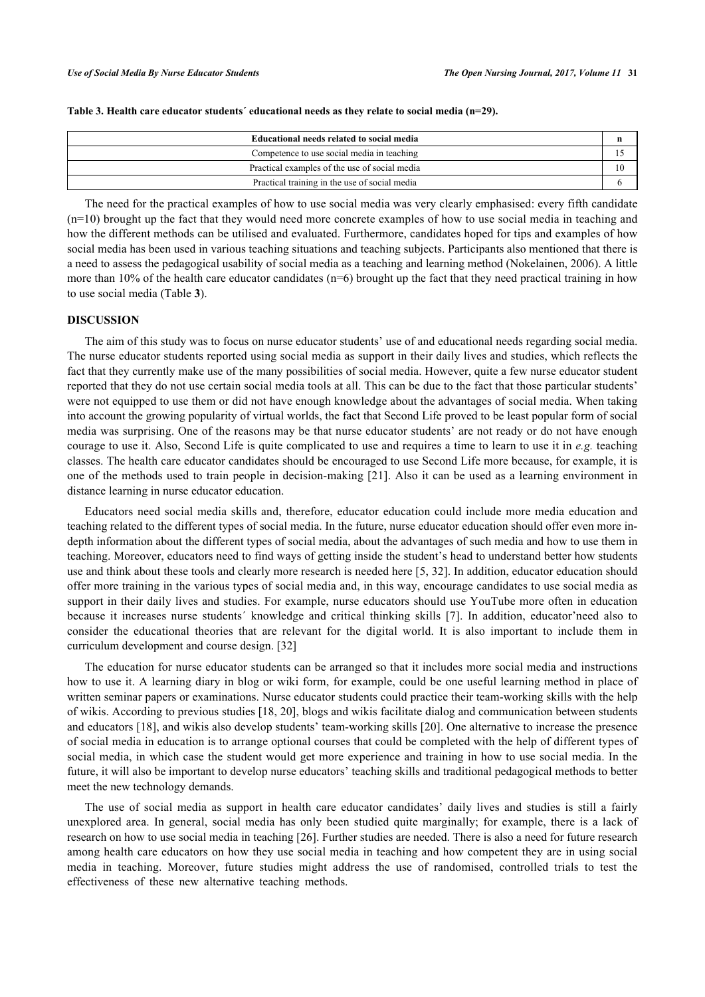| Educational needs related to social media     |  |
|-----------------------------------------------|--|
| Competence to use social media in teaching    |  |
| Practical examples of the use of social media |  |
| Practical training in the use of social media |  |

<span id="page-5-0"></span>**Table 3. Health care educator students´ educational needs as they relate to social media (n=29).**

The need for the practical examples of how to use social media was very clearly emphasised: every fifth candidate  $(n=10)$  brought up the fact that they would need more concrete examples of how to use social media in teaching and how the different methods can be utilised and evaluated. Furthermore, candidates hoped for tips and examples of how social media has been used in various teaching situations and teaching subjects. Participants also mentioned that there is a need to assess the pedagogical usability of social media as a teaching and learning method (Nokelainen, 2006). A little more than 10% of the health care educator candidates (n=6) brought up the fact that they need practical training in how to use social media (Table **[3](#page-5-0)**).

# **DISCUSSION**

The aim of this study was to focus on nurse educator students' use of and educational needs regarding social media. The nurse educator students reported using social media as support in their daily lives and studies, which reflects the fact that they currently make use of the many possibilities of social media. However, quite a few nurse educator student reported that they do not use certain social media tools at all. This can be due to the fact that those particular students' were not equipped to use them or did not have enough knowledge about the advantages of social media. When taking into account the growing popularity of virtual worlds, the fact that Second Life proved to be least popular form of social media was surprising. One of the reasons may be that nurse educator students' are not ready or do not have enough courage to use it. Also, Second Life is quite complicated to use and requires a time to learn to use it in *e.g.* teaching classes. The health care educator candidates should be encouraged to use Second Life more because, for example, it is one of the methods used to train people in decision-making [[21](#page-7-9)]. Also it can be used as a learning environment in distance learning in nurse educator education.

Educators need social media skills and, therefore, educator education could include more media education and teaching related to the different types of social media. In the future, nurse educator education should offer even more indepth information about the different types of social media, about the advantages of such media and how to use them in teaching. Moreover, educators need to find ways of getting inside the student's head to understand better how students use and think about these tools and clearly more research is needed here [[5,](#page-6-3) [32\]](#page-7-19). In addition, educator education should offer more training in the various types of social media and, in this way, encourage candidates to use social media as support in their daily lives and studies. For example, nurse educators should use YouTube more often in education because it increases nurse students´ knowledge and critical thinking skills[[7](#page-6-5)]. In addition, educator'need also to consider the educational theories that are relevant for the digital world. It is also important to include them in curriculum development and course design. [\[32](#page-7-19)]

The education for nurse educator students can be arranged so that it includes more social media and instructions how to use it. A learning diary in blog or wiki form, for example, could be one useful learning method in place of written seminar papers or examinations. Nurse educator students could practice their team-working skills with the help of wikis. According to previous studies [[18,](#page-7-6) [20\]](#page-7-8), blogs and wikis facilitate dialog and communication between students and educators [[18\]](#page-7-6), and wikis also develop students' team-working skills [[20\]](#page-7-8). One alternative to increase the presence of social media in education is to arrange optional courses that could be completed with the help of different types of social media, in which case the student would get more experience and training in how to use social media. In the future, it will also be important to develop nurse educators' teaching skills and traditional pedagogical methods to better meet the new technology demands.

The use of social media as support in health care educator candidates' daily lives and studies is still a fairly unexplored area. In general, social media has only been studied quite marginally; for example, there is a lack of research on how to use social media in teaching [[26\]](#page-7-13). Further studies are needed. There is also a need for future research among health care educators on how they use social media in teaching and how competent they are in using social media in teaching. Moreover, future studies might address the use of randomised, controlled trials to test the effectiveness of these new alternative teaching methods.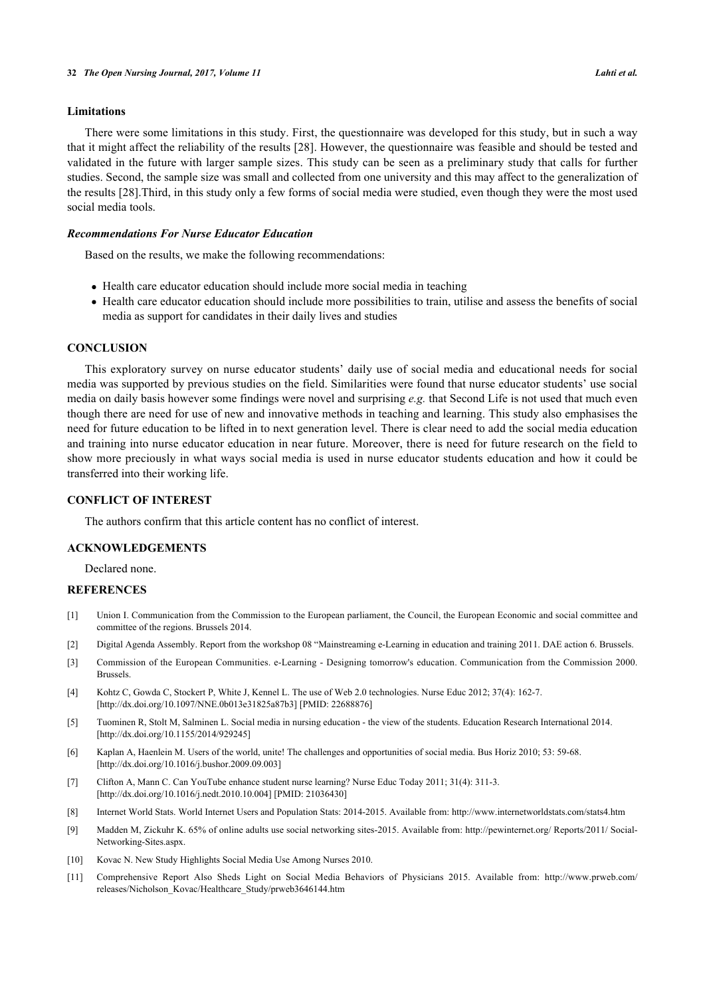# **Limitations**

There were some limitations in this study. First, the questionnaire was developed for this study, but in such a way that it might affect the reliability of the results [[28\]](#page-7-15). However, the questionnaire was feasible and should be tested and validated in the future with larger sample sizes. This study can be seen as a preliminary study that calls for further studies. Second, the sample size was small and collected from one university and this may affect to the generalization of the results [[28\]](#page-7-15).Third, in this study only a few forms of social media were studied, even though they were the most used social media tools.

# *Recommendations For Nurse Educator Education*

Based on the results, we make the following recommendations:

- Health care educator education should include more social media in teaching
- Health care educator education should include more possibilities to train, utilise and assess the benefits of social media as support for candidates in their daily lives and studies

#### **CONCLUSION**

This exploratory survey on nurse educator students' daily use of social media and educational needs for social media was supported by previous studies on the field. Similarities were found that nurse educator students' use social media on daily basis however some findings were novel and surprising *e.g.* that Second Life is not used that much even though there are need for use of new and innovative methods in teaching and learning. This study also emphasises the need for future education to be lifted in to next generation level. There is clear need to add the social media education and training into nurse educator education in near future. Moreover, there is need for future research on the field to show more preciously in what ways social media is used in nurse educator students education and how it could be transferred into their working life.

# **CONFLICT OF INTEREST**

The authors confirm that this article content has no conflict of interest.

#### **ACKNOWLEDGEMENTS**

Declared none.

# **REFERENCES**

- <span id="page-6-0"></span>[1] Union I. Communication from the Commission to the European parliament, the Council, the European Economic and social committee and committee of the regions. Brussels 2014.
- [2] Digital Agenda Assembly. Report from the workshop 08 "Mainstreaming e-Learning in education and training 2011. DAE action 6. Brussels.
- <span id="page-6-1"></span>[3] Commission of the European Communities. e-Learning - Designing tomorrow's education. Communication from the Commission 2000. Brussels.
- <span id="page-6-2"></span>[4] Kohtz C, Gowda C, Stockert P, White J, Kennel L. The use of Web 2.0 technologies. Nurse Educ 2012; 37(4): 162-7. [\[http://dx.doi.org/10.1097/NNE.0b013e31825a87b3](http://dx.doi.org/10.1097/NNE.0b013e31825a87b3)] [PMID: [22688876\]](http://www.ncbi.nlm.nih.gov/pubmed/22688876)
- <span id="page-6-3"></span>[5] Tuominen R, Stolt M, Salminen L. Social media in nursing education - the view of the students. Education Research International 2014. [\[http://dx.doi.org/10.1155/2014/929245](http://dx.doi.org/10.1155/2014/929245)]
- <span id="page-6-4"></span>[6] Kaplan A, Haenlein M. Users of the world, unite! The challenges and opportunities of social media. Bus Horiz 2010; 53: 59-68. [\[http://dx.doi.org/10.1016/j.bushor.2009.09.003\]](http://dx.doi.org/10.1016/j.bushor.2009.09.003)
- <span id="page-6-5"></span>[7] Clifton A, Mann C. Can YouTube enhance student nurse learning? Nurse Educ Today 2011; 31(4): 311-3. [\[http://dx.doi.org/10.1016/j.nedt.2010.10.004\]](http://dx.doi.org/10.1016/j.nedt.2010.10.004) [PMID: [21036430](http://www.ncbi.nlm.nih.gov/pubmed/21036430)]
- <span id="page-6-6"></span>[8] Internet World Stats. World Internet Users and Population Stats: 2014-2015. Available from: <http://www.internetworldstats.com/stats4.htm>
- <span id="page-6-7"></span>[9] Madden M, Zickuhr K. 65% of online adults use social networking sites-2015. Available from: [http://pewinternet.org/ Reports/2011/ Social-](http://pewinternet.org/Reports/2011/Social-Networking-Sites.aspx)[Networking-Sites.aspx.](http://pewinternet.org/Reports/2011/Social-Networking-Sites.aspx)
- <span id="page-6-8"></span>[10] Kovac N. New Study Highlights Social Media Use Among Nurses 2010.
- <span id="page-6-9"></span>[11] Comprehensive Report Also Sheds Light on Social Media Behaviors of Physicians 2015. Available from: [http://www.prweb.com/](http://www.prweb.com/releases/Nicholson_Kovac/Healthcare_Study/prweb3646144.htm) [releases/Nicholson\\_Kovac/Healthcare\\_Study/prweb3646144.htm](http://www.prweb.com/releases/Nicholson_Kovac/Healthcare_Study/prweb3646144.htm)